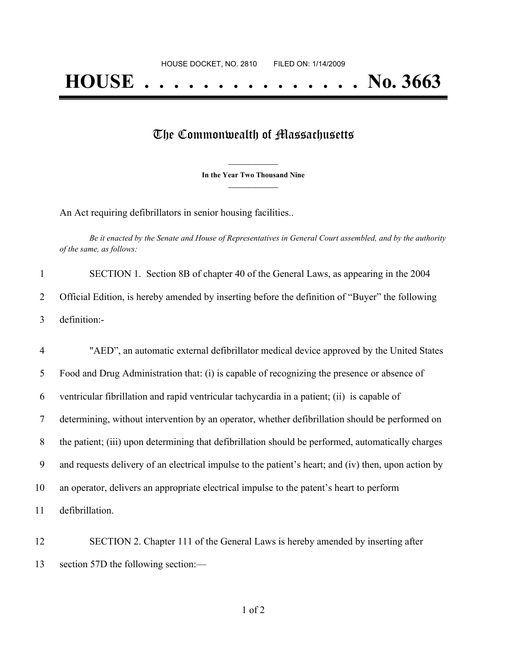## The Commonwealth of Massachusetts

**\_\_\_\_\_\_\_\_\_\_\_\_\_\_\_ In the Year Two Thousand Nine \_\_\_\_\_\_\_\_\_\_\_\_\_\_\_**

An Act requiring defibrillators in senior housing facilities..

Be it enacted by the Senate and House of Representatives in General Court assembled, and by the authority *of the same, as follows:*

|   | SECTION 1. Section 8B of chapter 40 of the General Laws, as appearing in the 2004               |
|---|-------------------------------------------------------------------------------------------------|
|   | Official Edition, is hereby amended by inserting before the definition of "Buyer" the following |
| 3 | definition:-                                                                                    |

 "AED", an automatic external defibrillator medical device approved by the United States Food and Drug Administration that: (i) is capable of recognizing the presence or absence of ventricular fibrillation and rapid ventricular tachycardia in a patient; (ii) is capable of determining, without intervention by an operator, whether defibrillation should be performed on the patient; (iii) upon determining that defibrillation should be performed, automatically charges and requests delivery of an electrical impulse to the patient's heart; and (iv) then, upon action by an operator, delivers an appropriate electrical impulse to the patent's heart to perform defibrillation.

 SECTION 2. Chapter 111 of the General Laws is hereby amended by inserting after section 57D the following section:—